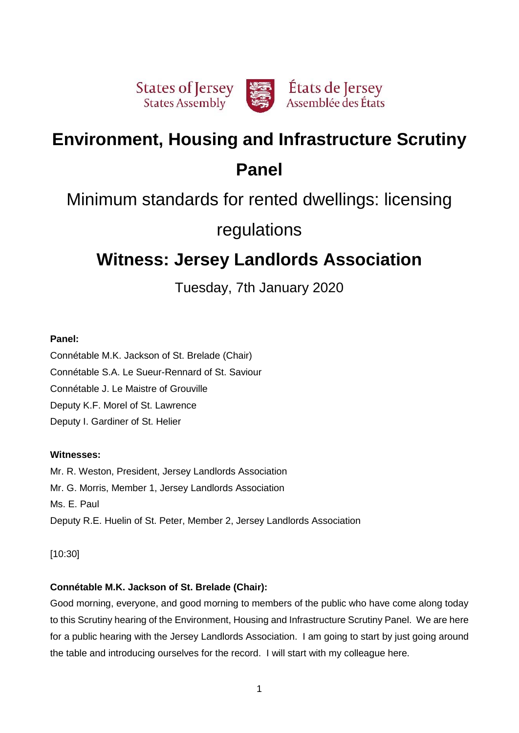

# **Environment, Housing and Infrastructure Scrutiny Panel**

# Minimum standards for rented dwellings: licensing

# regulations

# **Witness: Jersey Landlords Association**

Tuesday, 7th January 2020

## **Panel:**

Connétable M.K. Jackson of St. Brelade (Chair) Connétable S.A. Le Sueur-Rennard of St. Saviour Connétable J. Le Maistre of Grouville Deputy K.F. Morel of St. Lawrence Deputy I. Gardiner of St. Helier

# **Witnesses:**

Mr. R. Weston, President, Jersey Landlords Association Mr. G. Morris, Member 1, Jersey Landlords Association Ms. E. Paul Deputy R.E. Huelin of St. Peter, Member 2, Jersey Landlords Association

[10:30]

# **Connétable M.K. Jackson of St. Brelade (Chair):**

Good morning, everyone, and good morning to members of the public who have come along today to this Scrutiny hearing of the Environment, Housing and Infrastructure Scrutiny Panel. We are here for a public hearing with the Jersey Landlords Association. I am going to start by just going around the table and introducing ourselves for the record. I will start with my colleague here.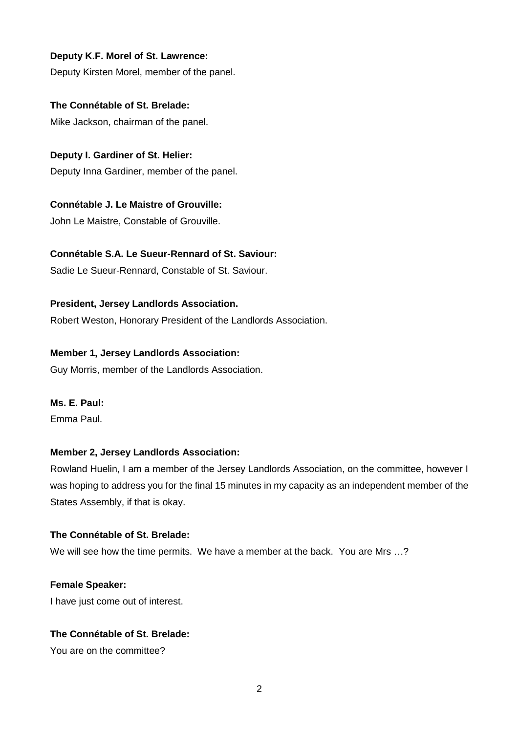## **Deputy K.F. Morel of St. Lawrence:**

Deputy Kirsten Morel, member of the panel.

**The Connétable of St. Brelade:**

Mike Jackson, chairman of the panel.

**Deputy I. Gardiner of St. Helier:**

Deputy Inna Gardiner, member of the panel.

## **Connétable J. Le Maistre of Grouville:**

John Le Maistre, Constable of Grouville.

## **Connétable S.A. Le Sueur-Rennard of St. Saviour:**

Sadie Le Sueur-Rennard, Constable of St. Saviour.

## **President, Jersey Landlords Association.**

Robert Weston, Honorary President of the Landlords Association.

## **Member 1, Jersey Landlords Association:**

Guy Morris, member of the Landlords Association.

## **Ms. E. Paul:**

Emma Paul.

## **Member 2, Jersey Landlords Association:**

Rowland Huelin, I am a member of the Jersey Landlords Association, on the committee, however I was hoping to address you for the final 15 minutes in my capacity as an independent member of the States Assembly, if that is okay.

## **The Connétable of St. Brelade:**

We will see how the time permits. We have a member at the back. You are Mrs …?

## **Female Speaker:**

I have just come out of interest.

## **The Connétable of St. Brelade:**

You are on the committee?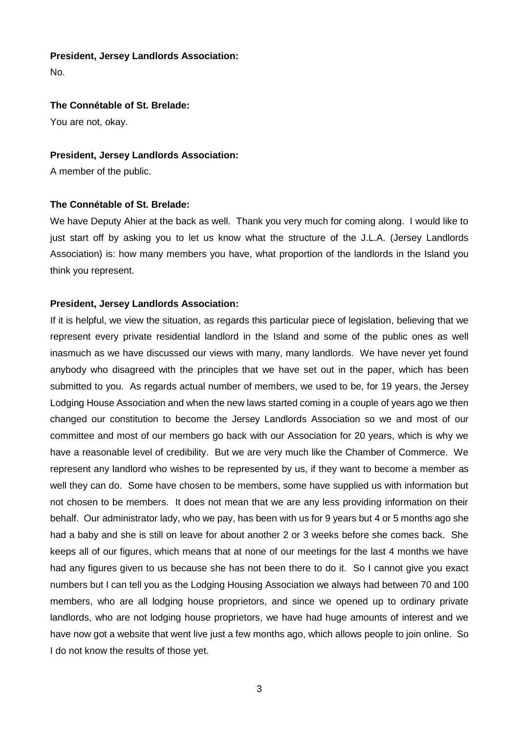#### **President, Jersey Landlords Association:**

No.

#### **The Connétable of St. Brelade:**

You are not, okay.

#### **President, Jersey Landlords Association:**

A member of the public.

#### **The Connétable of St. Brelade:**

We have Deputy Ahier at the back as well. Thank you very much for coming along. I would like to just start off by asking you to let us know what the structure of the J.L.A. (Jersey Landlords Association) is: how many members you have, what proportion of the landlords in the Island you think you represent.

#### **President, Jersey Landlords Association:**

If it is helpful, we view the situation, as regards this particular piece of legislation, believing that we represent every private residential landlord in the Island and some of the public ones as well inasmuch as we have discussed our views with many, many landlords. We have never yet found anybody who disagreed with the principles that we have set out in the paper, which has been submitted to you. As regards actual number of members, we used to be, for 19 years, the Jersey Lodging House Association and when the new laws started coming in a couple of years ago we then changed our constitution to become the Jersey Landlords Association so we and most of our committee and most of our members go back with our Association for 20 years, which is why we have a reasonable level of credibility. But we are very much like the Chamber of Commerce. We represent any landlord who wishes to be represented by us, if they want to become a member as well they can do. Some have chosen to be members, some have supplied us with information but not chosen to be members. It does not mean that we are any less providing information on their behalf. Our administrator lady, who we pay, has been with us for 9 years but 4 or 5 months ago she had a baby and she is still on leave for about another 2 or 3 weeks before she comes back. She keeps all of our figures, which means that at none of our meetings for the last 4 months we have had any figures given to us because she has not been there to do it. So I cannot give you exact numbers but I can tell you as the Lodging Housing Association we always had between 70 and 100 members, who are all lodging house proprietors, and since we opened up to ordinary private landlords, who are not lodging house proprietors, we have had huge amounts of interest and we have now got a website that went live just a few months ago, which allows people to join online. So I do not know the results of those yet.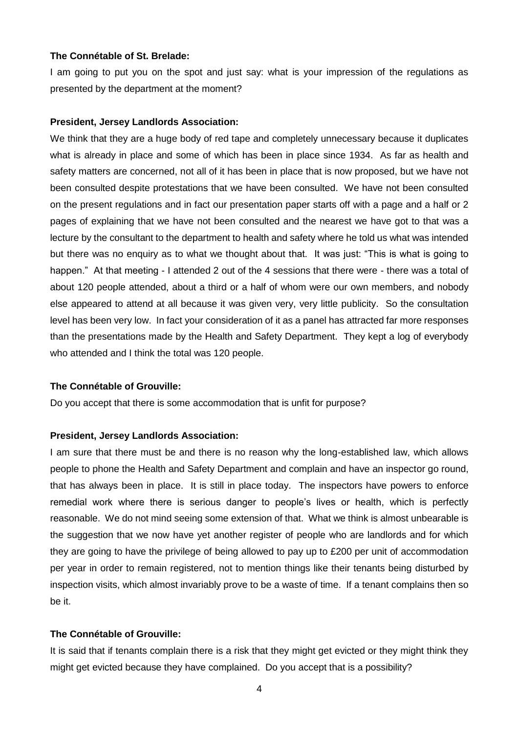### **The Connétable of St. Brelade:**

I am going to put you on the spot and just say: what is your impression of the regulations as presented by the department at the moment?

#### **President, Jersey Landlords Association:**

We think that they are a huge body of red tape and completely unnecessary because it duplicates what is already in place and some of which has been in place since 1934. As far as health and safety matters are concerned, not all of it has been in place that is now proposed, but we have not been consulted despite protestations that we have been consulted. We have not been consulted on the present regulations and in fact our presentation paper starts off with a page and a half or 2 pages of explaining that we have not been consulted and the nearest we have got to that was a lecture by the consultant to the department to health and safety where he told us what was intended but there was no enquiry as to what we thought about that. It was just: "This is what is going to happen." At that meeting - I attended 2 out of the 4 sessions that there were - there was a total of about 120 people attended, about a third or a half of whom were our own members, and nobody else appeared to attend at all because it was given very, very little publicity. So the consultation level has been very low. In fact your consideration of it as a panel has attracted far more responses than the presentations made by the Health and Safety Department. They kept a log of everybody who attended and I think the total was 120 people.

#### **The Connétable of Grouville:**

Do you accept that there is some accommodation that is unfit for purpose?

#### **President, Jersey Landlords Association:**

I am sure that there must be and there is no reason why the long-established law, which allows people to phone the Health and Safety Department and complain and have an inspector go round, that has always been in place. It is still in place today. The inspectors have powers to enforce remedial work where there is serious danger to people's lives or health, which is perfectly reasonable. We do not mind seeing some extension of that. What we think is almost unbearable is the suggestion that we now have yet another register of people who are landlords and for which they are going to have the privilege of being allowed to pay up to £200 per unit of accommodation per year in order to remain registered, not to mention things like their tenants being disturbed by inspection visits, which almost invariably prove to be a waste of time. If a tenant complains then so be it.

## **The Connétable of Grouville:**

It is said that if tenants complain there is a risk that they might get evicted or they might think they might get evicted because they have complained. Do you accept that is a possibility?

4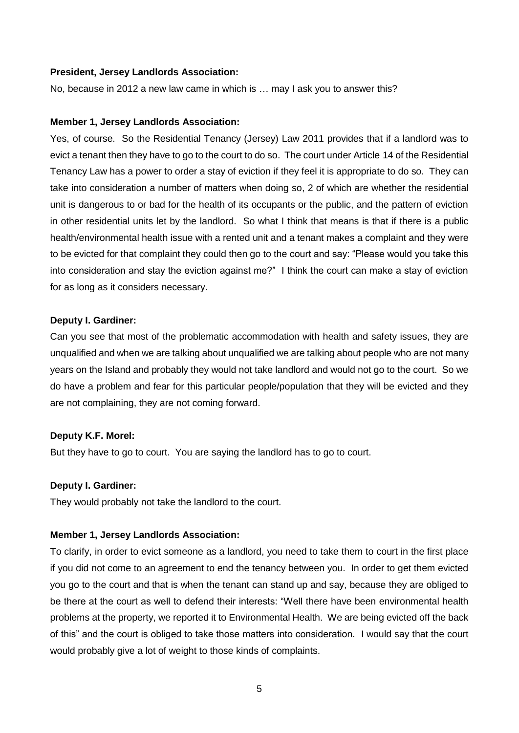#### **President, Jersey Landlords Association:**

No, because in 2012 a new law came in which is … may I ask you to answer this?

#### **Member 1, Jersey Landlords Association:**

Yes, of course. So the Residential Tenancy (Jersey) Law 2011 provides that if a landlord was to evict a tenant then they have to go to the court to do so. The court under Article 14 of the Residential Tenancy Law has a power to order a stay of eviction if they feel it is appropriate to do so. They can take into consideration a number of matters when doing so, 2 of which are whether the residential unit is dangerous to or bad for the health of its occupants or the public, and the pattern of eviction in other residential units let by the landlord. So what I think that means is that if there is a public health/environmental health issue with a rented unit and a tenant makes a complaint and they were to be evicted for that complaint they could then go to the court and say: "Please would you take this into consideration and stay the eviction against me?" I think the court can make a stay of eviction for as long as it considers necessary.

#### **Deputy I. Gardiner:**

Can you see that most of the problematic accommodation with health and safety issues, they are unqualified and when we are talking about unqualified we are talking about people who are not many years on the Island and probably they would not take landlord and would not go to the court. So we do have a problem and fear for this particular people/population that they will be evicted and they are not complaining, they are not coming forward.

#### **Deputy K.F. Morel:**

But they have to go to court. You are saying the landlord has to go to court.

#### **Deputy I. Gardiner:**

They would probably not take the landlord to the court.

#### **Member 1, Jersey Landlords Association:**

To clarify, in order to evict someone as a landlord, you need to take them to court in the first place if you did not come to an agreement to end the tenancy between you. In order to get them evicted you go to the court and that is when the tenant can stand up and say, because they are obliged to be there at the court as well to defend their interests: "Well there have been environmental health problems at the property, we reported it to Environmental Health. We are being evicted off the back of this" and the court is obliged to take those matters into consideration. I would say that the court would probably give a lot of weight to those kinds of complaints.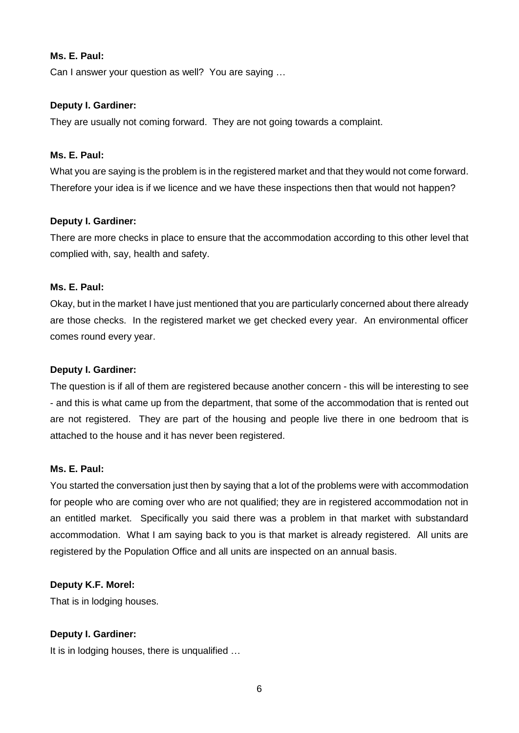## **Ms. E. Paul:**

Can I answer your question as well? You are saying …

## **Deputy I. Gardiner:**

They are usually not coming forward. They are not going towards a complaint.

## **Ms. E. Paul:**

What you are saying is the problem is in the registered market and that they would not come forward. Therefore your idea is if we licence and we have these inspections then that would not happen?

## **Deputy I. Gardiner:**

There are more checks in place to ensure that the accommodation according to this other level that complied with, say, health and safety.

## **Ms. E. Paul:**

Okay, but in the market I have just mentioned that you are particularly concerned about there already are those checks. In the registered market we get checked every year. An environmental officer comes round every year.

## **Deputy I. Gardiner:**

The question is if all of them are registered because another concern - this will be interesting to see - and this is what came up from the department, that some of the accommodation that is rented out are not registered. They are part of the housing and people live there in one bedroom that is attached to the house and it has never been registered.

#### **Ms. E. Paul:**

You started the conversation just then by saying that a lot of the problems were with accommodation for people who are coming over who are not qualified; they are in registered accommodation not in an entitled market. Specifically you said there was a problem in that market with substandard accommodation. What I am saying back to you is that market is already registered. All units are registered by the Population Office and all units are inspected on an annual basis.

## **Deputy K.F. Morel:**

That is in lodging houses.

## **Deputy I. Gardiner:**

It is in lodging houses, there is unqualified …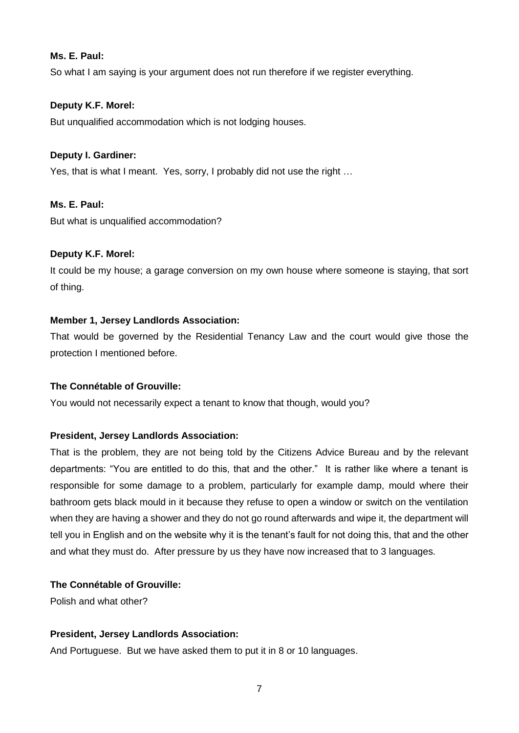## **Ms. E. Paul:**

So what I am saying is your argument does not run therefore if we register everything.

## **Deputy K.F. Morel:**

But unqualified accommodation which is not lodging houses.

## **Deputy I. Gardiner:**

Yes, that is what I meant. Yes, sorry, I probably did not use the right …

## **Ms. E. Paul:**

But what is unqualified accommodation?

## **Deputy K.F. Morel:**

It could be my house; a garage conversion on my own house where someone is staying, that sort of thing.

## **Member 1, Jersey Landlords Association:**

That would be governed by the Residential Tenancy Law and the court would give those the protection I mentioned before.

## **The Connétable of Grouville:**

You would not necessarily expect a tenant to know that though, would you?

#### **President, Jersey Landlords Association:**

That is the problem, they are not being told by the Citizens Advice Bureau and by the relevant departments: "You are entitled to do this, that and the other." It is rather like where a tenant is responsible for some damage to a problem, particularly for example damp, mould where their bathroom gets black mould in it because they refuse to open a window or switch on the ventilation when they are having a shower and they do not go round afterwards and wipe it, the department will tell you in English and on the website why it is the tenant's fault for not doing this, that and the other and what they must do. After pressure by us they have now increased that to 3 languages.

## **The Connétable of Grouville:**

Polish and what other?

## **President, Jersey Landlords Association:**

And Portuguese. But we have asked them to put it in 8 or 10 languages.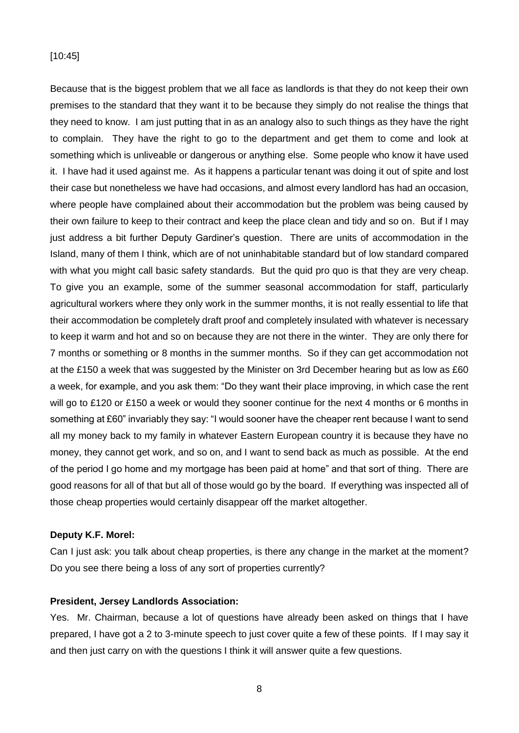#### [10:45]

Because that is the biggest problem that we all face as landlords is that they do not keep their own premises to the standard that they want it to be because they simply do not realise the things that they need to know. I am just putting that in as an analogy also to such things as they have the right to complain. They have the right to go to the department and get them to come and look at something which is unliveable or dangerous or anything else. Some people who know it have used it. I have had it used against me. As it happens a particular tenant was doing it out of spite and lost their case but nonetheless we have had occasions, and almost every landlord has had an occasion, where people have complained about their accommodation but the problem was being caused by their own failure to keep to their contract and keep the place clean and tidy and so on. But if I may just address a bit further Deputy Gardiner's question. There are units of accommodation in the Island, many of them I think, which are of not uninhabitable standard but of low standard compared with what you might call basic safety standards. But the quid pro quo is that they are very cheap. To give you an example, some of the summer seasonal accommodation for staff, particularly agricultural workers where they only work in the summer months, it is not really essential to life that their accommodation be completely draft proof and completely insulated with whatever is necessary to keep it warm and hot and so on because they are not there in the winter. They are only there for 7 months or something or 8 months in the summer months. So if they can get accommodation not at the £150 a week that was suggested by the Minister on 3rd December hearing but as low as £60 a week, for example, and you ask them: "Do they want their place improving, in which case the rent will go to £120 or £150 a week or would they sooner continue for the next 4 months or 6 months in something at £60" invariably they say: "I would sooner have the cheaper rent because I want to send all my money back to my family in whatever Eastern European country it is because they have no money, they cannot get work, and so on, and I want to send back as much as possible. At the end of the period I go home and my mortgage has been paid at home" and that sort of thing. There are good reasons for all of that but all of those would go by the board. If everything was inspected all of those cheap properties would certainly disappear off the market altogether.

#### **Deputy K.F. Morel:**

Can I just ask: you talk about cheap properties, is there any change in the market at the moment? Do you see there being a loss of any sort of properties currently?

#### **President, Jersey Landlords Association:**

Yes. Mr. Chairman, because a lot of questions have already been asked on things that I have prepared, I have got a 2 to 3-minute speech to just cover quite a few of these points. If I may say it and then just carry on with the questions I think it will answer quite a few questions.

8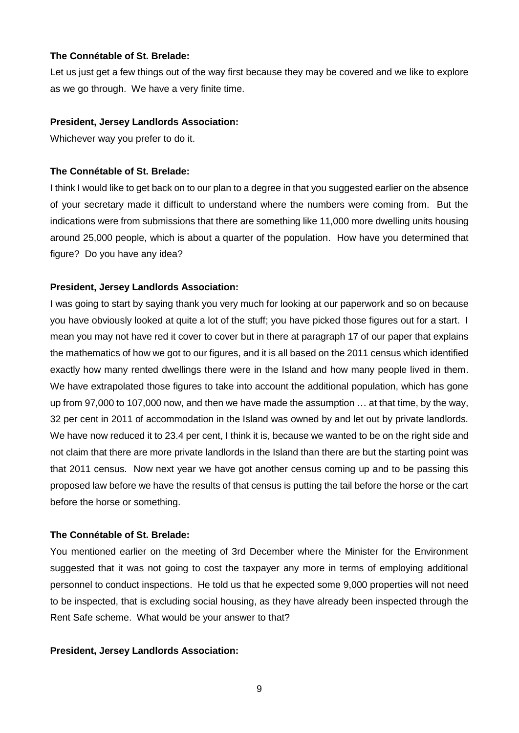### **The Connétable of St. Brelade:**

Let us just get a few things out of the way first because they may be covered and we like to explore as we go through. We have a very finite time.

## **President, Jersey Landlords Association:**

Whichever way you prefer to do it.

## **The Connétable of St. Brelade:**

I think I would like to get back on to our plan to a degree in that you suggested earlier on the absence of your secretary made it difficult to understand where the numbers were coming from. But the indications were from submissions that there are something like 11,000 more dwelling units housing around 25,000 people, which is about a quarter of the population. How have you determined that figure? Do you have any idea?

## **President, Jersey Landlords Association:**

I was going to start by saying thank you very much for looking at our paperwork and so on because you have obviously looked at quite a lot of the stuff; you have picked those figures out for a start. I mean you may not have red it cover to cover but in there at paragraph 17 of our paper that explains the mathematics of how we got to our figures, and it is all based on the 2011 census which identified exactly how many rented dwellings there were in the Island and how many people lived in them. We have extrapolated those figures to take into account the additional population, which has gone up from 97,000 to 107,000 now, and then we have made the assumption … at that time, by the way, 32 per cent in 2011 of accommodation in the Island was owned by and let out by private landlords. We have now reduced it to 23.4 per cent, I think it is, because we wanted to be on the right side and not claim that there are more private landlords in the Island than there are but the starting point was that 2011 census. Now next year we have got another census coming up and to be passing this proposed law before we have the results of that census is putting the tail before the horse or the cart before the horse or something.

## **The Connétable of St. Brelade:**

You mentioned earlier on the meeting of 3rd December where the Minister for the Environment suggested that it was not going to cost the taxpayer any more in terms of employing additional personnel to conduct inspections. He told us that he expected some 9,000 properties will not need to be inspected, that is excluding social housing, as they have already been inspected through the Rent Safe scheme. What would be your answer to that?

## **President, Jersey Landlords Association:**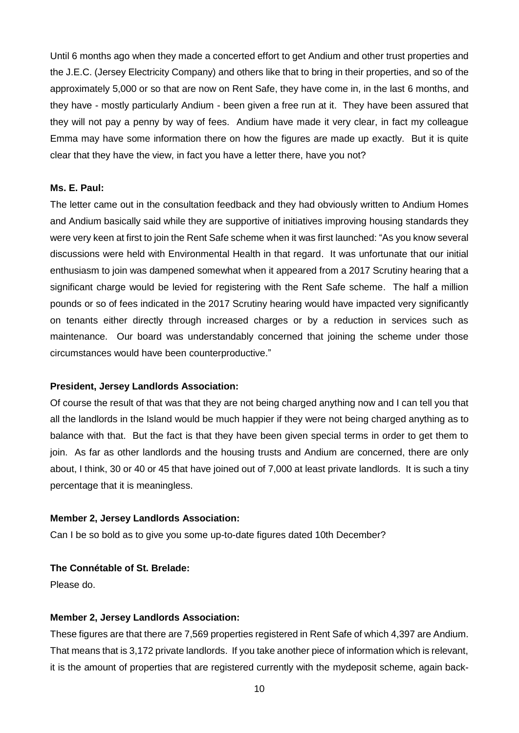Until 6 months ago when they made a concerted effort to get Andium and other trust properties and the J.E.C. (Jersey Electricity Company) and others like that to bring in their properties, and so of the approximately 5,000 or so that are now on Rent Safe, they have come in, in the last 6 months, and they have - mostly particularly Andium - been given a free run at it. They have been assured that they will not pay a penny by way of fees. Andium have made it very clear, in fact my colleague Emma may have some information there on how the figures are made up exactly. But it is quite clear that they have the view, in fact you have a letter there, have you not?

## **Ms. E. Paul:**

The letter came out in the consultation feedback and they had obviously written to Andium Homes and Andium basically said while they are supportive of initiatives improving housing standards they were very keen at first to join the Rent Safe scheme when it was first launched: "As you know several discussions were held with Environmental Health in that regard. It was unfortunate that our initial enthusiasm to join was dampened somewhat when it appeared from a 2017 Scrutiny hearing that a significant charge would be levied for registering with the Rent Safe scheme. The half a million pounds or so of fees indicated in the 2017 Scrutiny hearing would have impacted very significantly on tenants either directly through increased charges or by a reduction in services such as maintenance. Our board was understandably concerned that joining the scheme under those circumstances would have been counterproductive."

#### **President, Jersey Landlords Association:**

Of course the result of that was that they are not being charged anything now and I can tell you that all the landlords in the Island would be much happier if they were not being charged anything as to balance with that. But the fact is that they have been given special terms in order to get them to join. As far as other landlords and the housing trusts and Andium are concerned, there are only about, I think, 30 or 40 or 45 that have joined out of 7,000 at least private landlords. It is such a tiny percentage that it is meaningless.

## **Member 2, Jersey Landlords Association:**

Can I be so bold as to give you some up-to-date figures dated 10th December?

## **The Connétable of St. Brelade:**

Please do.

#### **Member 2, Jersey Landlords Association:**

These figures are that there are 7,569 properties registered in Rent Safe of which 4,397 are Andium. That means that is 3,172 private landlords. If you take another piece of information which is relevant, it is the amount of properties that are registered currently with the mydeposit scheme, again back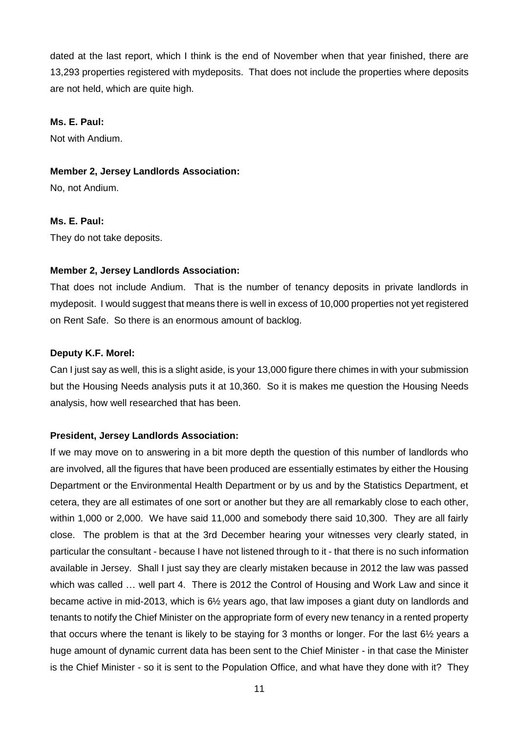dated at the last report, which I think is the end of November when that year finished, there are 13,293 properties registered with mydeposits. That does not include the properties where deposits are not held, which are quite high.

## **Ms. E. Paul:**

Not with Andium.

#### **Member 2, Jersey Landlords Association:**

No, not Andium.

#### **Ms. E. Paul:**

They do not take deposits.

### **Member 2, Jersey Landlords Association:**

That does not include Andium. That is the number of tenancy deposits in private landlords in mydeposit. I would suggest that means there is well in excess of 10,000 properties not yet registered on Rent Safe. So there is an enormous amount of backlog.

## **Deputy K.F. Morel:**

Can I just say as well, this is a slight aside, is your 13,000 figure there chimes in with your submission but the Housing Needs analysis puts it at 10,360. So it is makes me question the Housing Needs analysis, how well researched that has been.

### **President, Jersey Landlords Association:**

If we may move on to answering in a bit more depth the question of this number of landlords who are involved, all the figures that have been produced are essentially estimates by either the Housing Department or the Environmental Health Department or by us and by the Statistics Department, et cetera, they are all estimates of one sort or another but they are all remarkably close to each other, within 1,000 or 2,000. We have said 11,000 and somebody there said 10,300. They are all fairly close. The problem is that at the 3rd December hearing your witnesses very clearly stated, in particular the consultant - because I have not listened through to it - that there is no such information available in Jersey. Shall I just say they are clearly mistaken because in 2012 the law was passed which was called … well part 4. There is 2012 the Control of Housing and Work Law and since it became active in mid-2013, which is 6½ years ago, that law imposes a giant duty on landlords and tenants to notify the Chief Minister on the appropriate form of every new tenancy in a rented property that occurs where the tenant is likely to be staying for 3 months or longer. For the last 6½ years a huge amount of dynamic current data has been sent to the Chief Minister - in that case the Minister is the Chief Minister - so it is sent to the Population Office, and what have they done with it? They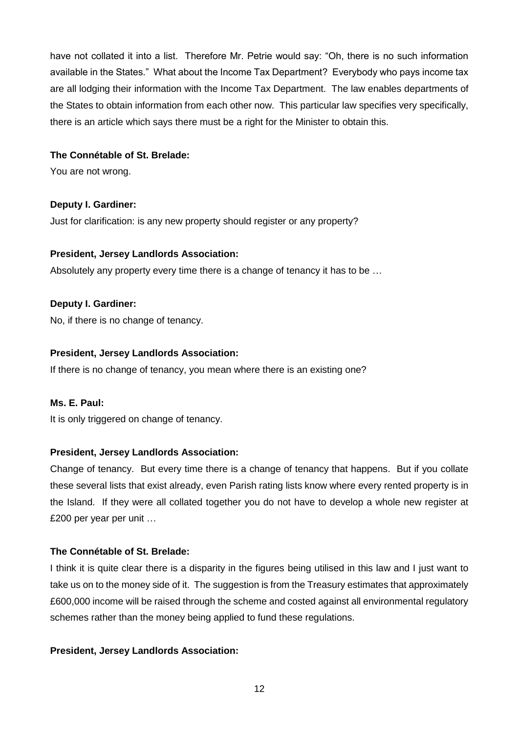have not collated it into a list. Therefore Mr. Petrie would say: "Oh, there is no such information available in the States." What about the Income Tax Department? Everybody who pays income tax are all lodging their information with the Income Tax Department. The law enables departments of the States to obtain information from each other now. This particular law specifies very specifically, there is an article which says there must be a right for the Minister to obtain this.

## **The Connétable of St. Brelade:**

You are not wrong.

## **Deputy I. Gardiner:**

Just for clarification: is any new property should register or any property?

## **President, Jersey Landlords Association:**

Absolutely any property every time there is a change of tenancy it has to be …

## **Deputy I. Gardiner:**

No, if there is no change of tenancy.

## **President, Jersey Landlords Association:**

If there is no change of tenancy, you mean where there is an existing one?

## **Ms. E. Paul:**

It is only triggered on change of tenancy.

## **President, Jersey Landlords Association:**

Change of tenancy. But every time there is a change of tenancy that happens. But if you collate these several lists that exist already, even Parish rating lists know where every rented property is in the Island. If they were all collated together you do not have to develop a whole new register at £200 per year per unit …

## **The Connétable of St. Brelade:**

I think it is quite clear there is a disparity in the figures being utilised in this law and I just want to take us on to the money side of it. The suggestion is from the Treasury estimates that approximately £600,000 income will be raised through the scheme and costed against all environmental regulatory schemes rather than the money being applied to fund these regulations.

## **President, Jersey Landlords Association:**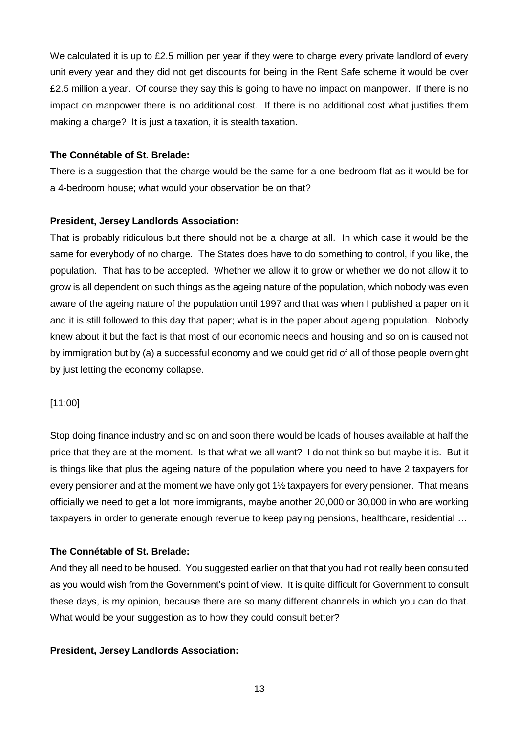We calculated it is up to £2.5 million per year if they were to charge every private landlord of every unit every year and they did not get discounts for being in the Rent Safe scheme it would be over £2.5 million a year. Of course they say this is going to have no impact on manpower. If there is no impact on manpower there is no additional cost. If there is no additional cost what justifies them making a charge? It is just a taxation, it is stealth taxation.

## **The Connétable of St. Brelade:**

There is a suggestion that the charge would be the same for a one-bedroom flat as it would be for a 4-bedroom house; what would your observation be on that?

## **President, Jersey Landlords Association:**

That is probably ridiculous but there should not be a charge at all. In which case it would be the same for everybody of no charge. The States does have to do something to control, if you like, the population. That has to be accepted. Whether we allow it to grow or whether we do not allow it to grow is all dependent on such things as the ageing nature of the population, which nobody was even aware of the ageing nature of the population until 1997 and that was when I published a paper on it and it is still followed to this day that paper; what is in the paper about ageing population. Nobody knew about it but the fact is that most of our economic needs and housing and so on is caused not by immigration but by (a) a successful economy and we could get rid of all of those people overnight by just letting the economy collapse.

[11:00]

Stop doing finance industry and so on and soon there would be loads of houses available at half the price that they are at the moment. Is that what we all want? I do not think so but maybe it is. But it is things like that plus the ageing nature of the population where you need to have 2 taxpayers for every pensioner and at the moment we have only got  $1\frac{1}{2}$  taxpayers for every pensioner. That means officially we need to get a lot more immigrants, maybe another 20,000 or 30,000 in who are working taxpayers in order to generate enough revenue to keep paying pensions, healthcare, residential …

## **The Connétable of St. Brelade:**

And they all need to be housed. You suggested earlier on that that you had not really been consulted as you would wish from the Government's point of view. It is quite difficult for Government to consult these days, is my opinion, because there are so many different channels in which you can do that. What would be your suggestion as to how they could consult better?

## **President, Jersey Landlords Association:**

13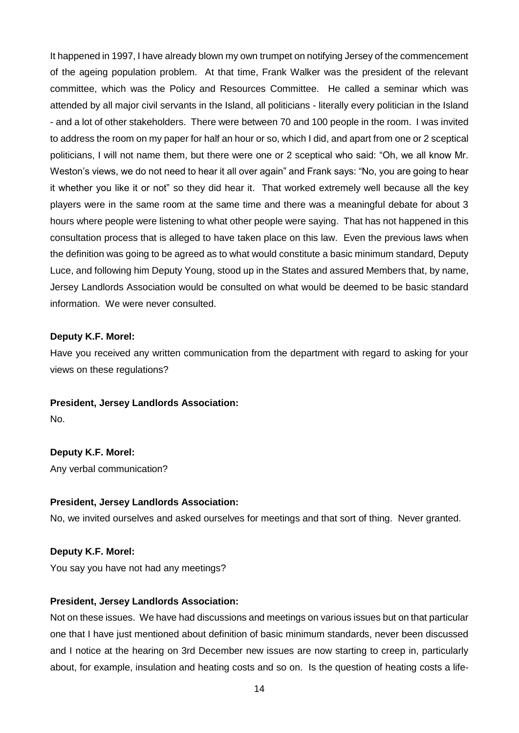It happened in 1997, I have already blown my own trumpet on notifying Jersey of the commencement of the ageing population problem. At that time, Frank Walker was the president of the relevant committee, which was the Policy and Resources Committee. He called a seminar which was attended by all major civil servants in the Island, all politicians - literally every politician in the Island - and a lot of other stakeholders. There were between 70 and 100 people in the room. I was invited to address the room on my paper for half an hour or so, which I did, and apart from one or 2 sceptical politicians, I will not name them, but there were one or 2 sceptical who said: "Oh, we all know Mr. Weston's views, we do not need to hear it all over again" and Frank says: "No, you are going to hear it whether you like it or not" so they did hear it. That worked extremely well because all the key players were in the same room at the same time and there was a meaningful debate for about 3 hours where people were listening to what other people were saying. That has not happened in this consultation process that is alleged to have taken place on this law. Even the previous laws when the definition was going to be agreed as to what would constitute a basic minimum standard, Deputy Luce, and following him Deputy Young, stood up in the States and assured Members that, by name, Jersey Landlords Association would be consulted on what would be deemed to be basic standard information. We were never consulted.

#### **Deputy K.F. Morel:**

Have you received any written communication from the department with regard to asking for your views on these regulations?

**President, Jersey Landlords Association:**

No.

# **Deputy K.F. Morel:**

Any verbal communication?

#### **President, Jersey Landlords Association:**

No, we invited ourselves and asked ourselves for meetings and that sort of thing. Never granted.

## **Deputy K.F. Morel:**

You say you have not had any meetings?

#### **President, Jersey Landlords Association:**

Not on these issues. We have had discussions and meetings on various issues but on that particular one that I have just mentioned about definition of basic minimum standards, never been discussed and I notice at the hearing on 3rd December new issues are now starting to creep in, particularly about, for example, insulation and heating costs and so on. Is the question of heating costs a life-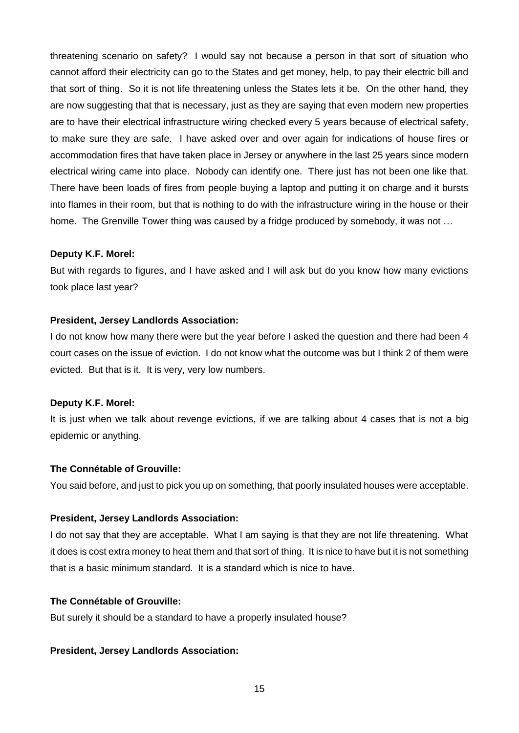threatening scenario on safety? I would say not because a person in that sort of situation who cannot afford their electricity can go to the States and get money, help, to pay their electric bill and that sort of thing. So it is not life threatening unless the States lets it be. On the other hand, they are now suggesting that that is necessary, just as they are saying that even modern new properties are to have their electrical infrastructure wiring checked every 5 years because of electrical safety, to make sure they are safe. I have asked over and over again for indications of house fires or accommodation fires that have taken place in Jersey or anywhere in the last 25 years since modern electrical wiring came into place. Nobody can identify one. There just has not been one like that. There have been loads of fires from people buying a laptop and putting it on charge and it bursts into flames in their room, but that is nothing to do with the infrastructure wiring in the house or their home. The Grenville Tower thing was caused by a fridge produced by somebody, it was not …

## **Deputy K.F. Morel:**

But with regards to figures, and I have asked and I will ask but do you know how many evictions took place last year?

#### **President, Jersey Landlords Association:**

I do not know how many there were but the year before I asked the question and there had been 4 court cases on the issue of eviction. I do not know what the outcome was but I think 2 of them were evicted. But that is it. It is very, very low numbers.

#### **Deputy K.F. Morel:**

It is just when we talk about revenge evictions, if we are talking about 4 cases that is not a big epidemic or anything.

### **The Connétable of Grouville:**

You said before, and just to pick you up on something, that poorly insulated houses were acceptable.

## **President, Jersey Landlords Association:**

I do not say that they are acceptable. What I am saying is that they are not life threatening. What it does is cost extra money to heat them and that sort of thing. It is nice to have but it is not something that is a basic minimum standard. It is a standard which is nice to have.

#### **The Connétable of Grouville:**

But surely it should be a standard to have a properly insulated house?

#### **President, Jersey Landlords Association:**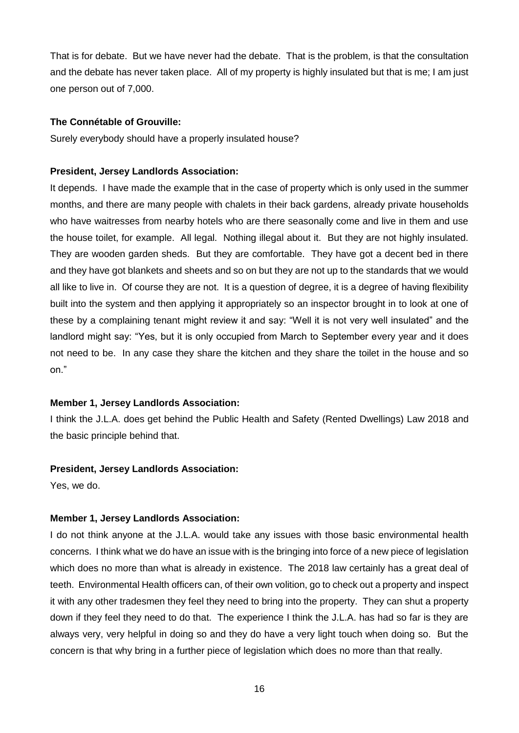That is for debate. But we have never had the debate. That is the problem, is that the consultation and the debate has never taken place. All of my property is highly insulated but that is me; I am just one person out of 7,000.

### **The Connétable of Grouville:**

Surely everybody should have a properly insulated house?

#### **President, Jersey Landlords Association:**

It depends. I have made the example that in the case of property which is only used in the summer months, and there are many people with chalets in their back gardens, already private households who have waitresses from nearby hotels who are there seasonally come and live in them and use the house toilet, for example. All legal. Nothing illegal about it. But they are not highly insulated. They are wooden garden sheds. But they are comfortable. They have got a decent bed in there and they have got blankets and sheets and so on but they are not up to the standards that we would all like to live in. Of course they are not. It is a question of degree, it is a degree of having flexibility built into the system and then applying it appropriately so an inspector brought in to look at one of these by a complaining tenant might review it and say: "Well it is not very well insulated" and the landlord might say: "Yes, but it is only occupied from March to September every year and it does not need to be. In any case they share the kitchen and they share the toilet in the house and so on."

#### **Member 1, Jersey Landlords Association:**

I think the J.L.A. does get behind the Public Health and Safety (Rented Dwellings) Law 2018 and the basic principle behind that.

#### **President, Jersey Landlords Association:**

Yes, we do.

## **Member 1, Jersey Landlords Association:**

I do not think anyone at the J.L.A. would take any issues with those basic environmental health concerns. I think what we do have an issue with is the bringing into force of a new piece of legislation which does no more than what is already in existence. The 2018 law certainly has a great deal of teeth. Environmental Health officers can, of their own volition, go to check out a property and inspect it with any other tradesmen they feel they need to bring into the property. They can shut a property down if they feel they need to do that. The experience I think the J.L.A. has had so far is they are always very, very helpful in doing so and they do have a very light touch when doing so. But the concern is that why bring in a further piece of legislation which does no more than that really.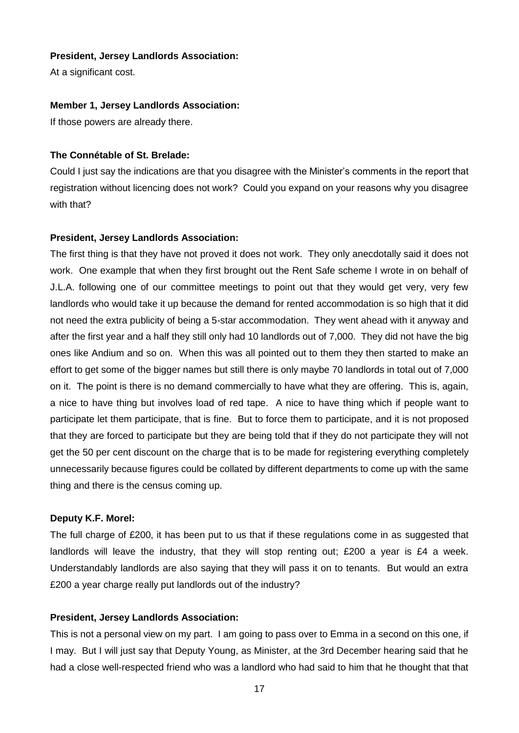## **President, Jersey Landlords Association:**

At a significant cost.

## **Member 1, Jersey Landlords Association:**

If those powers are already there.

## **The Connétable of St. Brelade:**

Could I just say the indications are that you disagree with the Minister's comments in the report that registration without licencing does not work? Could you expand on your reasons why you disagree with that?

## **President, Jersey Landlords Association:**

The first thing is that they have not proved it does not work. They only anecdotally said it does not work. One example that when they first brought out the Rent Safe scheme I wrote in on behalf of J.L.A. following one of our committee meetings to point out that they would get very, very few landlords who would take it up because the demand for rented accommodation is so high that it did not need the extra publicity of being a 5-star accommodation. They went ahead with it anyway and after the first year and a half they still only had 10 landlords out of 7,000. They did not have the big ones like Andium and so on. When this was all pointed out to them they then started to make an effort to get some of the bigger names but still there is only maybe 70 landlords in total out of 7,000 on it. The point is there is no demand commercially to have what they are offering. This is, again, a nice to have thing but involves load of red tape. A nice to have thing which if people want to participate let them participate, that is fine. But to force them to participate, and it is not proposed that they are forced to participate but they are being told that if they do not participate they will not get the 50 per cent discount on the charge that is to be made for registering everything completely unnecessarily because figures could be collated by different departments to come up with the same thing and there is the census coming up.

## **Deputy K.F. Morel:**

The full charge of £200, it has been put to us that if these regulations come in as suggested that landlords will leave the industry, that they will stop renting out; £200 a year is £4 a week. Understandably landlords are also saying that they will pass it on to tenants. But would an extra £200 a year charge really put landlords out of the industry?

## **President, Jersey Landlords Association:**

This is not a personal view on my part. I am going to pass over to Emma in a second on this one, if I may. But I will just say that Deputy Young, as Minister, at the 3rd December hearing said that he had a close well-respected friend who was a landlord who had said to him that he thought that that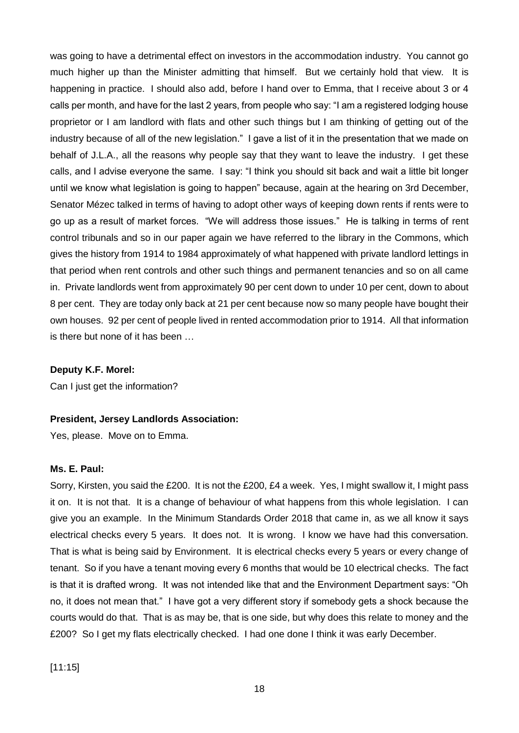was going to have a detrimental effect on investors in the accommodation industry. You cannot go much higher up than the Minister admitting that himself. But we certainly hold that view. It is happening in practice. I should also add, before I hand over to Emma, that I receive about 3 or 4 calls per month, and have for the last 2 years, from people who say: "I am a registered lodging house proprietor or I am landlord with flats and other such things but I am thinking of getting out of the industry because of all of the new legislation." I gave a list of it in the presentation that we made on behalf of J.L.A., all the reasons why people say that they want to leave the industry. I get these calls, and I advise everyone the same. I say: "I think you should sit back and wait a little bit longer until we know what legislation is going to happen" because, again at the hearing on 3rd December, Senator Mézec talked in terms of having to adopt other ways of keeping down rents if rents were to go up as a result of market forces. "We will address those issues." He is talking in terms of rent control tribunals and so in our paper again we have referred to the library in the Commons, which gives the history from 1914 to 1984 approximately of what happened with private landlord lettings in that period when rent controls and other such things and permanent tenancies and so on all came in. Private landlords went from approximately 90 per cent down to under 10 per cent, down to about 8 per cent. They are today only back at 21 per cent because now so many people have bought their own houses. 92 per cent of people lived in rented accommodation prior to 1914. All that information is there but none of it has been …

## **Deputy K.F. Morel:**

Can I just get the information?

#### **President, Jersey Landlords Association:**

Yes, please. Move on to Emma.

#### **Ms. E. Paul:**

Sorry, Kirsten, you said the £200. It is not the £200, £4 a week. Yes, I might swallow it, I might pass it on. It is not that. It is a change of behaviour of what happens from this whole legislation. I can give you an example. In the Minimum Standards Order 2018 that came in, as we all know it says electrical checks every 5 years. It does not. It is wrong. I know we have had this conversation. That is what is being said by Environment. It is electrical checks every 5 years or every change of tenant. So if you have a tenant moving every 6 months that would be 10 electrical checks. The fact is that it is drafted wrong. It was not intended like that and the Environment Department says: "Oh no, it does not mean that." I have got a very different story if somebody gets a shock because the courts would do that. That is as may be, that is one side, but why does this relate to money and the £200? So I get my flats electrically checked. I had one done I think it was early December.

[11:15]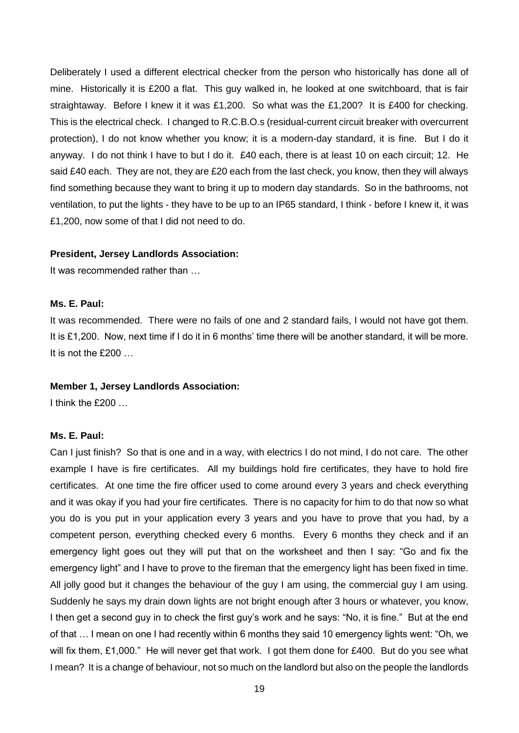Deliberately I used a different electrical checker from the person who historically has done all of mine. Historically it is £200 a flat. This guy walked in, he looked at one switchboard, that is fair straightaway. Before I knew it it was £1,200. So what was the £1,200? It is £400 for checking. This is the electrical check. I changed to R.C.B.O.s (residual-current circuit breaker with overcurrent protection), I do not know whether you know; it is a modern-day standard, it is fine. But I do it anyway. I do not think I have to but I do it. £40 each, there is at least 10 on each circuit; 12. He said £40 each. They are not, they are £20 each from the last check, you know, then they will always find something because they want to bring it up to modern day standards. So in the bathrooms, not ventilation, to put the lights - they have to be up to an IP65 standard, I think - before I knew it, it was £1,200, now some of that I did not need to do.

#### **President, Jersey Landlords Association:**

It was recommended rather than …

#### **Ms. E. Paul:**

It was recommended. There were no fails of one and 2 standard fails, I would not have got them. It is £1,200. Now, next time if I do it in 6 months' time there will be another standard, it will be more. It is not the £200 …

#### **Member 1, Jersey Landlords Association:**

I think the £200 …

#### **Ms. E. Paul:**

Can I just finish? So that is one and in a way, with electrics I do not mind, I do not care. The other example I have is fire certificates. All my buildings hold fire certificates, they have to hold fire certificates. At one time the fire officer used to come around every 3 years and check everything and it was okay if you had your fire certificates. There is no capacity for him to do that now so what you do is you put in your application every 3 years and you have to prove that you had, by a competent person, everything checked every 6 months. Every 6 months they check and if an emergency light goes out they will put that on the worksheet and then I say: "Go and fix the emergency light" and I have to prove to the fireman that the emergency light has been fixed in time. All jolly good but it changes the behaviour of the guy I am using, the commercial guy I am using. Suddenly he says my drain down lights are not bright enough after 3 hours or whatever, you know, I then get a second guy in to check the first guy's work and he says: "No, it is fine." But at the end of that … I mean on one I had recently within 6 months they said 10 emergency lights went: "Oh, we will fix them, £1,000." He will never get that work. I got them done for £400. But do you see what I mean? It is a change of behaviour, not so much on the landlord but also on the people the landlords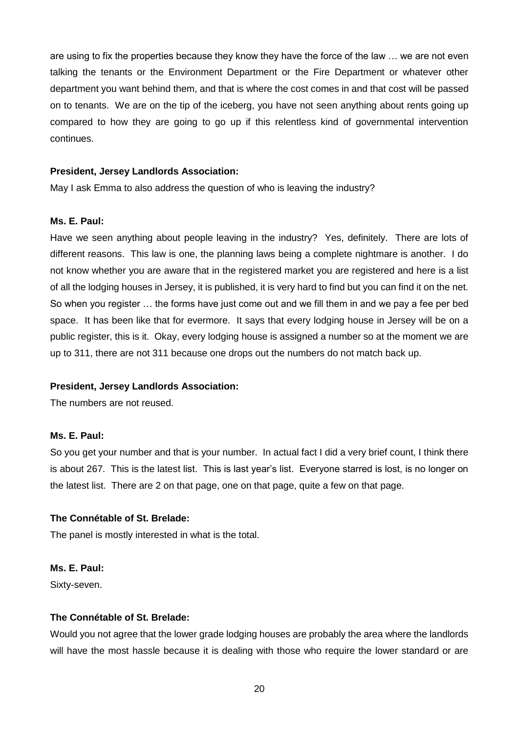are using to fix the properties because they know they have the force of the law … we are not even talking the tenants or the Environment Department or the Fire Department or whatever other department you want behind them, and that is where the cost comes in and that cost will be passed on to tenants. We are on the tip of the iceberg, you have not seen anything about rents going up compared to how they are going to go up if this relentless kind of governmental intervention continues.

#### **President, Jersey Landlords Association:**

May I ask Emma to also address the question of who is leaving the industry?

#### **Ms. E. Paul:**

Have we seen anything about people leaving in the industry? Yes, definitely. There are lots of different reasons. This law is one, the planning laws being a complete nightmare is another. I do not know whether you are aware that in the registered market you are registered and here is a list of all the lodging houses in Jersey, it is published, it is very hard to find but you can find it on the net. So when you register … the forms have just come out and we fill them in and we pay a fee per bed space. It has been like that for evermore. It says that every lodging house in Jersey will be on a public register, this is it. Okay, every lodging house is assigned a number so at the moment we are up to 311, there are not 311 because one drops out the numbers do not match back up.

#### **President, Jersey Landlords Association:**

The numbers are not reused.

## **Ms. E. Paul:**

So you get your number and that is your number. In actual fact I did a very brief count, I think there is about 267. This is the latest list. This is last year's list. Everyone starred is lost, is no longer on the latest list. There are 2 on that page, one on that page, quite a few on that page.

## **The Connétable of St. Brelade:**

The panel is mostly interested in what is the total.

## **Ms. E. Paul:**

Sixty-seven.

## **The Connétable of St. Brelade:**

Would you not agree that the lower grade lodging houses are probably the area where the landlords will have the most hassle because it is dealing with those who require the lower standard or are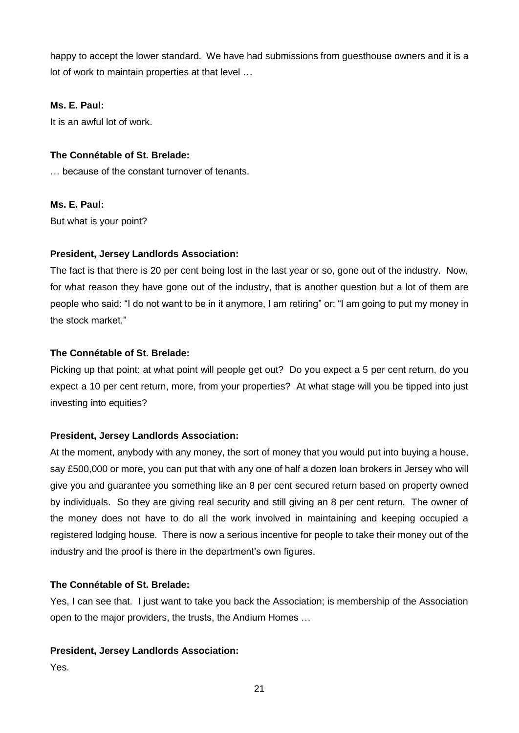happy to accept the lower standard. We have had submissions from guesthouse owners and it is a lot of work to maintain properties at that level …

## **Ms. E. Paul:**

It is an awful lot of work.

## **The Connétable of St. Brelade:**

… because of the constant turnover of tenants.

## **Ms. E. Paul:**

But what is your point?

## **President, Jersey Landlords Association:**

The fact is that there is 20 per cent being lost in the last year or so, gone out of the industry. Now, for what reason they have gone out of the industry, that is another question but a lot of them are people who said: "I do not want to be in it anymore, I am retiring" or: "I am going to put my money in the stock market."

## **The Connétable of St. Brelade:**

Picking up that point: at what point will people get out? Do you expect a 5 per cent return, do you expect a 10 per cent return, more, from your properties? At what stage will you be tipped into just investing into equities?

## **President, Jersey Landlords Association:**

At the moment, anybody with any money, the sort of money that you would put into buying a house, say £500,000 or more, you can put that with any one of half a dozen loan brokers in Jersey who will give you and guarantee you something like an 8 per cent secured return based on property owned by individuals. So they are giving real security and still giving an 8 per cent return. The owner of the money does not have to do all the work involved in maintaining and keeping occupied a registered lodging house. There is now a serious incentive for people to take their money out of the industry and the proof is there in the department's own figures.

#### **The Connétable of St. Brelade:**

Yes, I can see that. I just want to take you back the Association; is membership of the Association open to the major providers, the trusts, the Andium Homes …

#### **President, Jersey Landlords Association:**

Yes.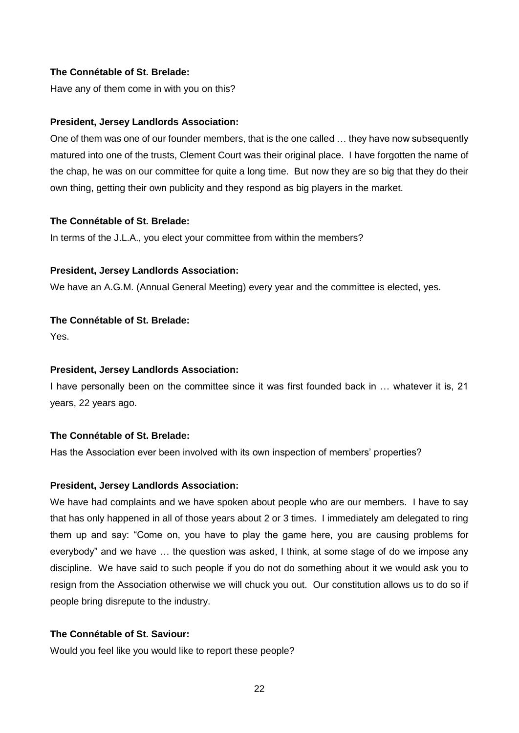## **The Connétable of St. Brelade:**

Have any of them come in with you on this?

## **President, Jersey Landlords Association:**

One of them was one of our founder members, that is the one called … they have now subsequently matured into one of the trusts, Clement Court was their original place. I have forgotten the name of the chap, he was on our committee for quite a long time. But now they are so big that they do their own thing, getting their own publicity and they respond as big players in the market.

## **The Connétable of St. Brelade:**

In terms of the J.L.A., you elect your committee from within the members?

## **President, Jersey Landlords Association:**

We have an A.G.M. (Annual General Meeting) every year and the committee is elected, yes.

## **The Connétable of St. Brelade:**

Yes.

## **President, Jersey Landlords Association:**

I have personally been on the committee since it was first founded back in … whatever it is, 21 years, 22 years ago.

## **The Connétable of St. Brelade:**

Has the Association ever been involved with its own inspection of members' properties?

#### **President, Jersey Landlords Association:**

We have had complaints and we have spoken about people who are our members. I have to say that has only happened in all of those years about 2 or 3 times. I immediately am delegated to ring them up and say: "Come on, you have to play the game here, you are causing problems for everybody" and we have … the question was asked, I think, at some stage of do we impose any discipline. We have said to such people if you do not do something about it we would ask you to resign from the Association otherwise we will chuck you out. Our constitution allows us to do so if people bring disrepute to the industry.

## **The Connétable of St. Saviour:**

Would you feel like you would like to report these people?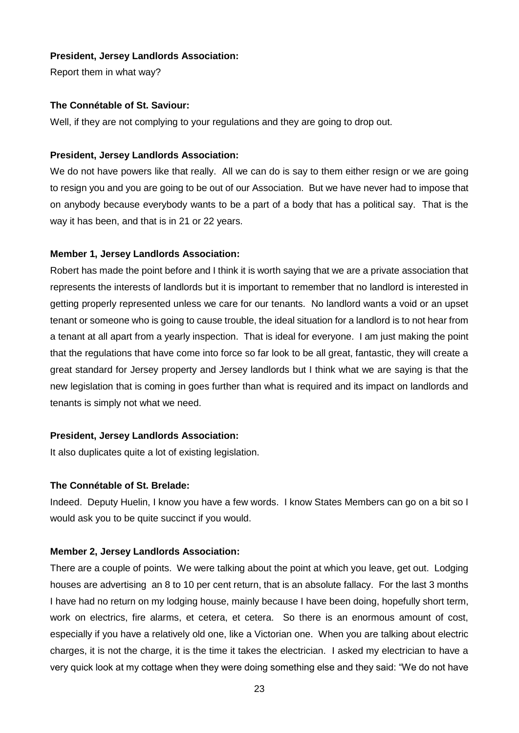## **President, Jersey Landlords Association:**

Report them in what way?

## **The Connétable of St. Saviour:**

Well, if they are not complying to your regulations and they are going to drop out.

## **President, Jersey Landlords Association:**

We do not have powers like that really. All we can do is say to them either resign or we are going to resign you and you are going to be out of our Association. But we have never had to impose that on anybody because everybody wants to be a part of a body that has a political say. That is the way it has been, and that is in 21 or 22 years.

## **Member 1, Jersey Landlords Association:**

Robert has made the point before and I think it is worth saying that we are a private association that represents the interests of landlords but it is important to remember that no landlord is interested in getting properly represented unless we care for our tenants. No landlord wants a void or an upset tenant or someone who is going to cause trouble, the ideal situation for a landlord is to not hear from a tenant at all apart from a yearly inspection. That is ideal for everyone. I am just making the point that the regulations that have come into force so far look to be all great, fantastic, they will create a great standard for Jersey property and Jersey landlords but I think what we are saying is that the new legislation that is coming in goes further than what is required and its impact on landlords and tenants is simply not what we need.

## **President, Jersey Landlords Association:**

It also duplicates quite a lot of existing legislation.

## **The Connétable of St. Brelade:**

Indeed. Deputy Huelin, I know you have a few words. I know States Members can go on a bit so I would ask you to be quite succinct if you would.

## **Member 2, Jersey Landlords Association:**

There are a couple of points. We were talking about the point at which you leave, get out. Lodging houses are advertising an 8 to 10 per cent return, that is an absolute fallacy. For the last 3 months I have had no return on my lodging house, mainly because I have been doing, hopefully short term, work on electrics, fire alarms, et cetera, et cetera. So there is an enormous amount of cost, especially if you have a relatively old one, like a Victorian one. When you are talking about electric charges, it is not the charge, it is the time it takes the electrician. I asked my electrician to have a very quick look at my cottage when they were doing something else and they said: "We do not have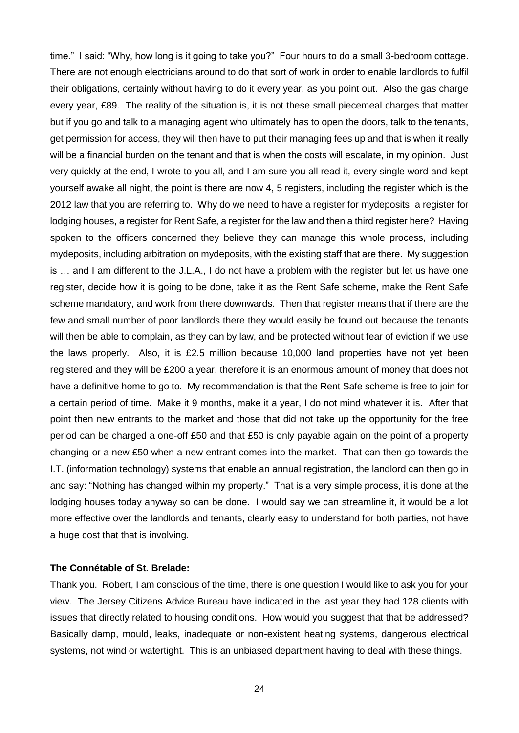time." I said: "Why, how long is it going to take you?" Four hours to do a small 3-bedroom cottage. There are not enough electricians around to do that sort of work in order to enable landlords to fulfil their obligations, certainly without having to do it every year, as you point out. Also the gas charge every year, £89. The reality of the situation is, it is not these small piecemeal charges that matter but if you go and talk to a managing agent who ultimately has to open the doors, talk to the tenants, get permission for access, they will then have to put their managing fees up and that is when it really will be a financial burden on the tenant and that is when the costs will escalate, in my opinion. Just very quickly at the end, I wrote to you all, and I am sure you all read it, every single word and kept yourself awake all night, the point is there are now 4, 5 registers, including the register which is the 2012 law that you are referring to. Why do we need to have a register for mydeposits, a register for lodging houses, a register for Rent Safe, a register for the law and then a third register here? Having spoken to the officers concerned they believe they can manage this whole process, including mydeposits, including arbitration on mydeposits, with the existing staff that are there. My suggestion is … and I am different to the J.L.A., I do not have a problem with the register but let us have one register, decide how it is going to be done, take it as the Rent Safe scheme, make the Rent Safe scheme mandatory, and work from there downwards. Then that register means that if there are the few and small number of poor landlords there they would easily be found out because the tenants will then be able to complain, as they can by law, and be protected without fear of eviction if we use the laws properly. Also, it is £2.5 million because 10,000 land properties have not yet been registered and they will be £200 a year, therefore it is an enormous amount of money that does not have a definitive home to go to. My recommendation is that the Rent Safe scheme is free to join for a certain period of time. Make it 9 months, make it a year, I do not mind whatever it is. After that point then new entrants to the market and those that did not take up the opportunity for the free period can be charged a one-off £50 and that £50 is only payable again on the point of a property changing or a new £50 when a new entrant comes into the market. That can then go towards the I.T. (information technology) systems that enable an annual registration, the landlord can then go in and say: "Nothing has changed within my property." That is a very simple process, it is done at the lodging houses today anyway so can be done. I would say we can streamline it, it would be a lot more effective over the landlords and tenants, clearly easy to understand for both parties, not have a huge cost that that is involving.

## **The Connétable of St. Brelade:**

Thank you. Robert, I am conscious of the time, there is one question I would like to ask you for your view. The Jersey Citizens Advice Bureau have indicated in the last year they had 128 clients with issues that directly related to housing conditions. How would you suggest that that be addressed? Basically damp, mould, leaks, inadequate or non-existent heating systems, dangerous electrical systems, not wind or watertight. This is an unbiased department having to deal with these things.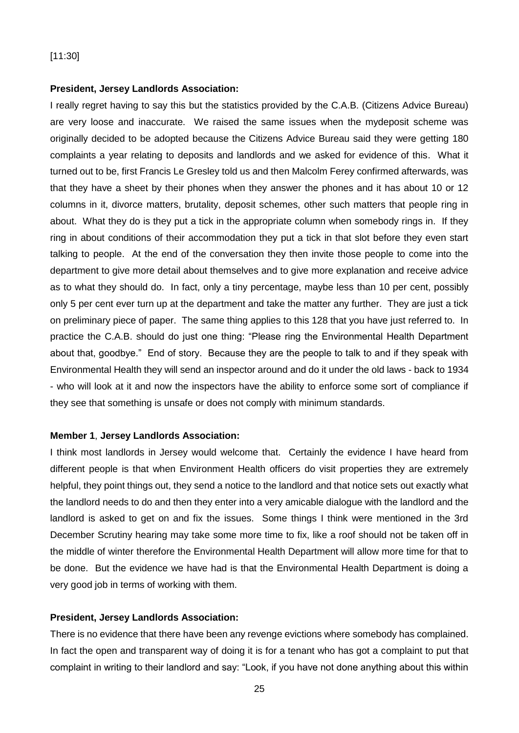#### **President, Jersey Landlords Association:**

I really regret having to say this but the statistics provided by the C.A.B. (Citizens Advice Bureau) are very loose and inaccurate. We raised the same issues when the mydeposit scheme was originally decided to be adopted because the Citizens Advice Bureau said they were getting 180 complaints a year relating to deposits and landlords and we asked for evidence of this. What it turned out to be, first Francis Le Gresley told us and then Malcolm Ferey confirmed afterwards, was that they have a sheet by their phones when they answer the phones and it has about 10 or 12 columns in it, divorce matters, brutality, deposit schemes, other such matters that people ring in about. What they do is they put a tick in the appropriate column when somebody rings in. If they ring in about conditions of their accommodation they put a tick in that slot before they even start talking to people. At the end of the conversation they then invite those people to come into the department to give more detail about themselves and to give more explanation and receive advice as to what they should do. In fact, only a tiny percentage, maybe less than 10 per cent, possibly only 5 per cent ever turn up at the department and take the matter any further. They are just a tick on preliminary piece of paper. The same thing applies to this 128 that you have just referred to. In practice the C.A.B. should do just one thing: "Please ring the Environmental Health Department about that, goodbye." End of story. Because they are the people to talk to and if they speak with Environmental Health they will send an inspector around and do it under the old laws - back to 1934 - who will look at it and now the inspectors have the ability to enforce some sort of compliance if they see that something is unsafe or does not comply with minimum standards.

#### **Member 1**, **Jersey Landlords Association:**

I think most landlords in Jersey would welcome that. Certainly the evidence I have heard from different people is that when Environment Health officers do visit properties they are extremely helpful, they point things out, they send a notice to the landlord and that notice sets out exactly what the landlord needs to do and then they enter into a very amicable dialogue with the landlord and the landlord is asked to get on and fix the issues. Some things I think were mentioned in the 3rd December Scrutiny hearing may take some more time to fix, like a roof should not be taken off in the middle of winter therefore the Environmental Health Department will allow more time for that to be done. But the evidence we have had is that the Environmental Health Department is doing a very good job in terms of working with them.

#### **President, Jersey Landlords Association:**

There is no evidence that there have been any revenge evictions where somebody has complained. In fact the open and transparent way of doing it is for a tenant who has got a complaint to put that complaint in writing to their landlord and say: "Look, if you have not done anything about this within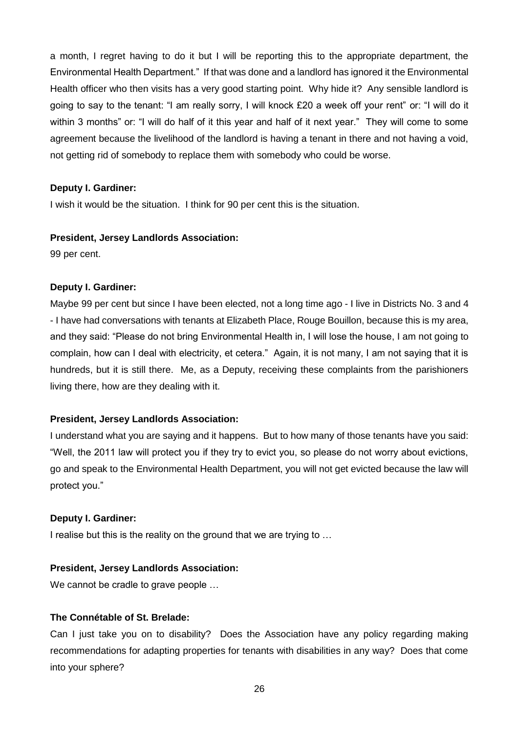a month, I regret having to do it but I will be reporting this to the appropriate department, the Environmental Health Department." If that was done and a landlord has ignored it the Environmental Health officer who then visits has a very good starting point. Why hide it? Any sensible landlord is going to say to the tenant: "I am really sorry, I will knock £20 a week off your rent" or: "I will do it within 3 months" or: "I will do half of it this year and half of it next year." They will come to some agreement because the livelihood of the landlord is having a tenant in there and not having a void, not getting rid of somebody to replace them with somebody who could be worse.

#### **Deputy I. Gardiner:**

I wish it would be the situation. I think for 90 per cent this is the situation.

#### **President, Jersey Landlords Association:**

99 per cent.

#### **Deputy I. Gardiner:**

Maybe 99 per cent but since I have been elected, not a long time ago - I live in Districts No. 3 and 4 - I have had conversations with tenants at Elizabeth Place, Rouge Bouillon, because this is my area, and they said: "Please do not bring Environmental Health in, I will lose the house, I am not going to complain, how can I deal with electricity, et cetera." Again, it is not many, I am not saying that it is hundreds, but it is still there. Me, as a Deputy, receiving these complaints from the parishioners living there, how are they dealing with it.

#### **President, Jersey Landlords Association:**

I understand what you are saying and it happens. But to how many of those tenants have you said: "Well, the 2011 law will protect you if they try to evict you, so please do not worry about evictions, go and speak to the Environmental Health Department, you will not get evicted because the law will protect you."

#### **Deputy I. Gardiner:**

I realise but this is the reality on the ground that we are trying to …

## **President, Jersey Landlords Association:**

We cannot be cradle to grave people …

## **The Connétable of St. Brelade:**

Can I just take you on to disability? Does the Association have any policy regarding making recommendations for adapting properties for tenants with disabilities in any way? Does that come into your sphere?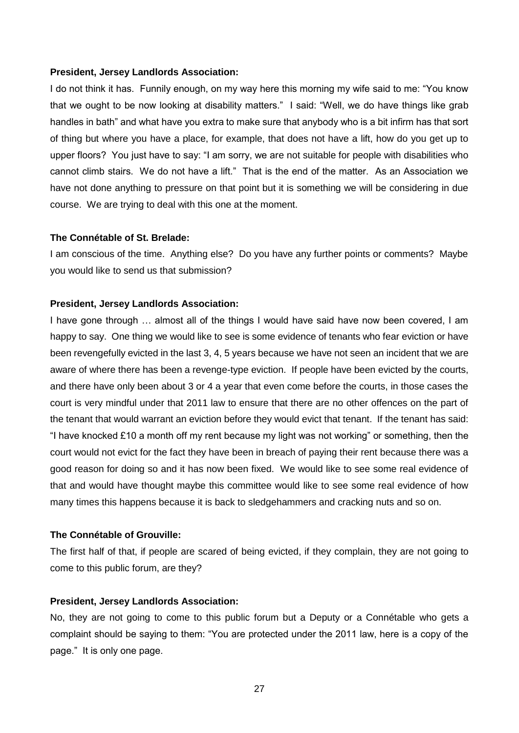#### **President, Jersey Landlords Association:**

I do not think it has. Funnily enough, on my way here this morning my wife said to me: "You know that we ought to be now looking at disability matters." I said: "Well, we do have things like grab handles in bath" and what have you extra to make sure that anybody who is a bit infirm has that sort of thing but where you have a place, for example, that does not have a lift, how do you get up to upper floors? You just have to say: "I am sorry, we are not suitable for people with disabilities who cannot climb stairs. We do not have a lift." That is the end of the matter. As an Association we have not done anything to pressure on that point but it is something we will be considering in due course. We are trying to deal with this one at the moment.

#### **The Connétable of St. Brelade:**

I am conscious of the time. Anything else? Do you have any further points or comments? Maybe you would like to send us that submission?

## **President, Jersey Landlords Association:**

I have gone through … almost all of the things I would have said have now been covered, I am happy to say. One thing we would like to see is some evidence of tenants who fear eviction or have been revengefully evicted in the last 3, 4, 5 years because we have not seen an incident that we are aware of where there has been a revenge-type eviction. If people have been evicted by the courts, and there have only been about 3 or 4 a year that even come before the courts, in those cases the court is very mindful under that 2011 law to ensure that there are no other offences on the part of the tenant that would warrant an eviction before they would evict that tenant. If the tenant has said: "I have knocked £10 a month off my rent because my light was not working" or something, then the court would not evict for the fact they have been in breach of paying their rent because there was a good reason for doing so and it has now been fixed. We would like to see some real evidence of that and would have thought maybe this committee would like to see some real evidence of how many times this happens because it is back to sledgehammers and cracking nuts and so on.

#### **The Connétable of Grouville:**

The first half of that, if people are scared of being evicted, if they complain, they are not going to come to this public forum, are they?

#### **President, Jersey Landlords Association:**

No, they are not going to come to this public forum but a Deputy or a Connétable who gets a complaint should be saying to them: "You are protected under the 2011 law, here is a copy of the page." It is only one page.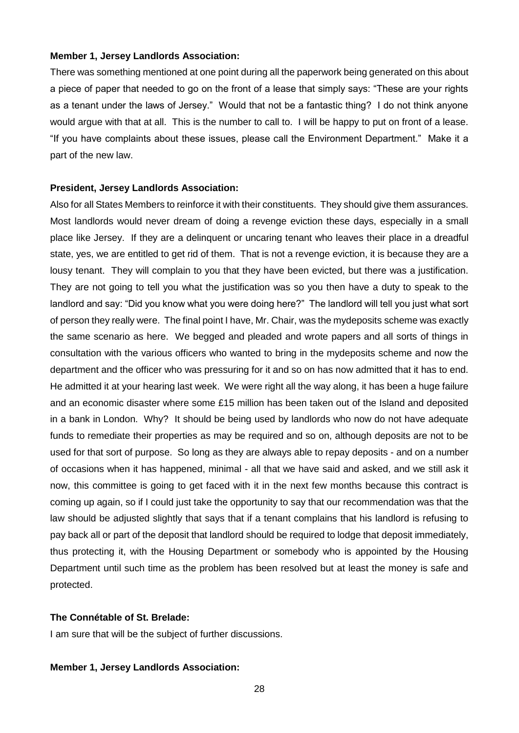#### **Member 1, Jersey Landlords Association:**

There was something mentioned at one point during all the paperwork being generated on this about a piece of paper that needed to go on the front of a lease that simply says: "These are your rights as a tenant under the laws of Jersey." Would that not be a fantastic thing? I do not think anyone would argue with that at all. This is the number to call to. I will be happy to put on front of a lease. "If you have complaints about these issues, please call the Environment Department." Make it a part of the new law.

#### **President, Jersey Landlords Association:**

Also for all States Members to reinforce it with their constituents. They should give them assurances. Most landlords would never dream of doing a revenge eviction these days, especially in a small place like Jersey. If they are a delinquent or uncaring tenant who leaves their place in a dreadful state, yes, we are entitled to get rid of them. That is not a revenge eviction, it is because they are a lousy tenant. They will complain to you that they have been evicted, but there was a justification. They are not going to tell you what the justification was so you then have a duty to speak to the landlord and say: "Did you know what you were doing here?" The landlord will tell you just what sort of person they really were. The final point I have, Mr. Chair, was the mydeposits scheme was exactly the same scenario as here. We begged and pleaded and wrote papers and all sorts of things in consultation with the various officers who wanted to bring in the mydeposits scheme and now the department and the officer who was pressuring for it and so on has now admitted that it has to end. He admitted it at your hearing last week. We were right all the way along, it has been a huge failure and an economic disaster where some £15 million has been taken out of the Island and deposited in a bank in London. Why? It should be being used by landlords who now do not have adequate funds to remediate their properties as may be required and so on, although deposits are not to be used for that sort of purpose. So long as they are always able to repay deposits - and on a number of occasions when it has happened, minimal - all that we have said and asked, and we still ask it now, this committee is going to get faced with it in the next few months because this contract is coming up again, so if I could just take the opportunity to say that our recommendation was that the law should be adjusted slightly that says that if a tenant complains that his landlord is refusing to pay back all or part of the deposit that landlord should be required to lodge that deposit immediately, thus protecting it, with the Housing Department or somebody who is appointed by the Housing Department until such time as the problem has been resolved but at least the money is safe and protected.

## **The Connétable of St. Brelade:**

I am sure that will be the subject of further discussions.

#### **Member 1, Jersey Landlords Association:**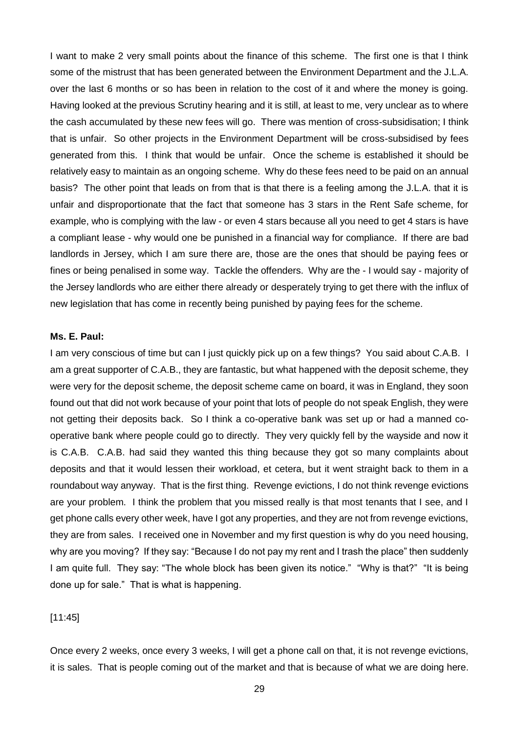I want to make 2 very small points about the finance of this scheme. The first one is that I think some of the mistrust that has been generated between the Environment Department and the J.L.A. over the last 6 months or so has been in relation to the cost of it and where the money is going. Having looked at the previous Scrutiny hearing and it is still, at least to me, very unclear as to where the cash accumulated by these new fees will go. There was mention of cross-subsidisation; I think that is unfair. So other projects in the Environment Department will be cross-subsidised by fees generated from this. I think that would be unfair. Once the scheme is established it should be relatively easy to maintain as an ongoing scheme. Why do these fees need to be paid on an annual basis? The other point that leads on from that is that there is a feeling among the J.L.A. that it is unfair and disproportionate that the fact that someone has 3 stars in the Rent Safe scheme, for example, who is complying with the law - or even 4 stars because all you need to get 4 stars is have a compliant lease - why would one be punished in a financial way for compliance. If there are bad landlords in Jersey, which I am sure there are, those are the ones that should be paying fees or fines or being penalised in some way. Tackle the offenders. Why are the - I would say - majority of the Jersey landlords who are either there already or desperately trying to get there with the influx of new legislation that has come in recently being punished by paying fees for the scheme.

#### **Ms. E. Paul:**

I am very conscious of time but can I just quickly pick up on a few things? You said about C.A.B. I am a great supporter of C.A.B., they are fantastic, but what happened with the deposit scheme, they were very for the deposit scheme, the deposit scheme came on board, it was in England, they soon found out that did not work because of your point that lots of people do not speak English, they were not getting their deposits back. So I think a co-operative bank was set up or had a manned cooperative bank where people could go to directly. They very quickly fell by the wayside and now it is C.A.B. C.A.B. had said they wanted this thing because they got so many complaints about deposits and that it would lessen their workload, et cetera, but it went straight back to them in a roundabout way anyway. That is the first thing. Revenge evictions, I do not think revenge evictions are your problem. I think the problem that you missed really is that most tenants that I see, and I get phone calls every other week, have I got any properties, and they are not from revenge evictions, they are from sales. I received one in November and my first question is why do you need housing, why are you moving? If they say: "Because I do not pay my rent and I trash the place" then suddenly I am quite full. They say: "The whole block has been given its notice." "Why is that?" "It is being done up for sale." That is what is happening.

#### [11:45]

Once every 2 weeks, once every 3 weeks, I will get a phone call on that, it is not revenge evictions, it is sales. That is people coming out of the market and that is because of what we are doing here.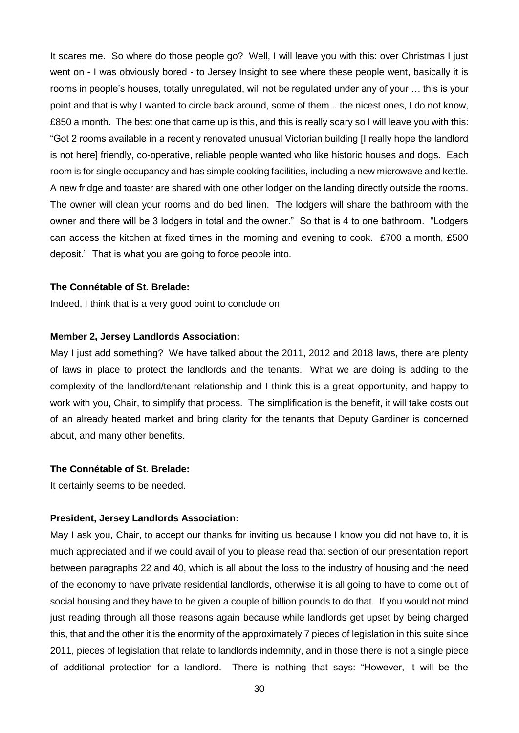It scares me. So where do those people go? Well, I will leave you with this: over Christmas I just went on - I was obviously bored - to Jersey Insight to see where these people went, basically it is rooms in people's houses, totally unregulated, will not be regulated under any of your … this is your point and that is why I wanted to circle back around, some of them .. the nicest ones, I do not know, £850 a month. The best one that came up is this, and this is really scary so I will leave you with this: "Got 2 rooms available in a recently renovated unusual Victorian building [I really hope the landlord is not here] friendly, co-operative, reliable people wanted who like historic houses and dogs. Each room is for single occupancy and has simple cooking facilities, including a new microwave and kettle. A new fridge and toaster are shared with one other lodger on the landing directly outside the rooms. The owner will clean your rooms and do bed linen. The lodgers will share the bathroom with the owner and there will be 3 lodgers in total and the owner." So that is 4 to one bathroom. "Lodgers can access the kitchen at fixed times in the morning and evening to cook. £700 a month, £500 deposit." That is what you are going to force people into.

#### **The Connétable of St. Brelade:**

Indeed, I think that is a very good point to conclude on.

#### **Member 2, Jersey Landlords Association:**

May I just add something? We have talked about the 2011, 2012 and 2018 laws, there are plenty of laws in place to protect the landlords and the tenants. What we are doing is adding to the complexity of the landlord/tenant relationship and I think this is a great opportunity, and happy to work with you, Chair, to simplify that process. The simplification is the benefit, it will take costs out of an already heated market and bring clarity for the tenants that Deputy Gardiner is concerned about, and many other benefits.

#### **The Connétable of St. Brelade:**

It certainly seems to be needed.

#### **President, Jersey Landlords Association:**

May I ask you, Chair, to accept our thanks for inviting us because I know you did not have to, it is much appreciated and if we could avail of you to please read that section of our presentation report between paragraphs 22 and 40, which is all about the loss to the industry of housing and the need of the economy to have private residential landlords, otherwise it is all going to have to come out of social housing and they have to be given a couple of billion pounds to do that. If you would not mind just reading through all those reasons again because while landlords get upset by being charged this, that and the other it is the enormity of the approximately 7 pieces of legislation in this suite since 2011, pieces of legislation that relate to landlords indemnity, and in those there is not a single piece of additional protection for a landlord. There is nothing that says: "However, it will be the